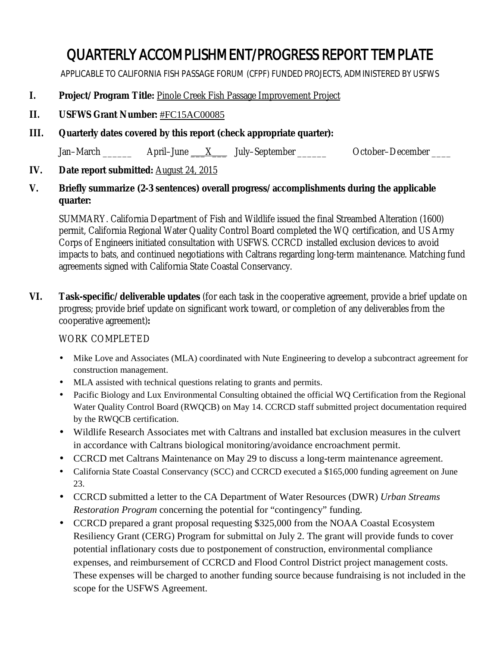# QUARTERLY ACCOMPLISHMENT/PROGRESS REPORT TEMPLATE

APPLICABLE TO CALIFORNIA FISH PASSAGE FORUM (CFPF) FUNDED PROJECTS, ADMINISTERED BY USFWS

- **I. Project/Program Title:** Pinole Creek Fish Passage Improvement Project
- **II. USFWS Grant Number:** #FC15AC00085
- **III. Quarterly dates covered by this report (check appropriate quarter):**

Jan–March  $\frac{1}{\sqrt{2}}$  April–June  $\frac{X}{X}$  July–September  $\frac{1}{\sqrt{2}}$  October–December

- **IV. Date report submitted:** August 24, 2015
- **V. Briefly summarize (2-3 sentences) overall progress/accomplishments during the applicable quarter:**

SUMMARY. California Department of Fish and Wildlife issued the final Streambed Alteration (1600) permit, California Regional Water Quality Control Board completed the WQ certification, and US Army Corps of Engineers initiated consultation with USFWS. CCRCD installed exclusion devices to avoid impacts to bats, and continued negotiations with Caltrans regarding long-term maintenance. Matching fund agreements signed with California State Coastal Conservancy.

**VI. Task-specific/deliverable updates** (for each task in the cooperative agreement, provide a brief update on progress; provide brief update on significant work toward, or completion of any deliverables from the cooperative agreement)**:**

### WORK COMPLETED

- Mike Love and Associates (MLA) coordinated with Nute Engineering to develop a subcontract agreement for construction management.
- MLA assisted with technical questions relating to grants and permits.
- Pacific Biology and Lux Environmental Consulting obtained the official WQ Certification from the Regional Water Quality Control Board (RWQCB) on May 14. CCRCD staff submitted project documentation required by the RWQCB certification.
- Wildlife Research Associates met with Caltrans and installed bat exclusion measures in the culvert in accordance with Caltrans biological monitoring/avoidance encroachment permit.
- CCRCD met Caltrans Maintenance on May 29 to discuss a long-term maintenance agreement.
- California State Coastal Conservancy (SCC) and CCRCD executed a \$165,000 funding agreement on June  $\mathcal{L}^{\pm}$ 23.
- CCRCD submitted a letter to the CA Department of Water Resources (DWR) *Urban Streams Restoration Program* concerning the potential for "contingency" funding.
- CCRCD prepared a grant proposal requesting \$325,000 from the NOAA Coastal Ecosystem  $\mathbf{r}$ Resiliency Grant (CERG) Program for submittal on July 2. The grant will provide funds to cover potential inflationary costs due to postponement of construction, environmental compliance expenses, and reimbursement of CCRCD and Flood Control District project management costs. These expenses will be charged to another funding source because fundraising is not included in the scope for the USFWS Agreement.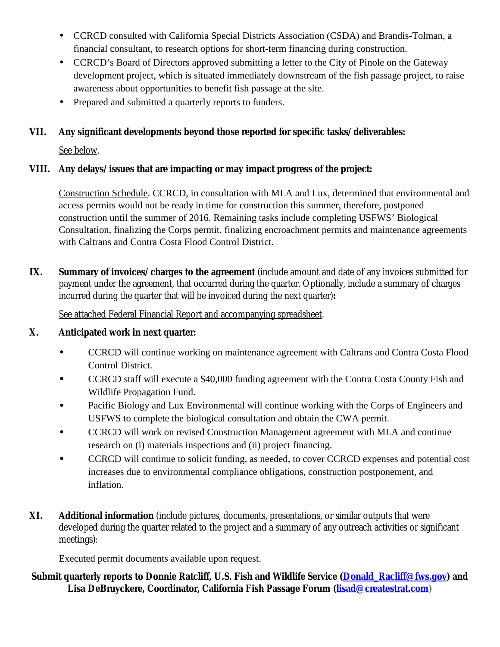- CCRCD consulted with California Special Districts Association (CSDA) and Brandis-Tolman, a financial consultant, to research options for short-term financing during construction.
- CCRCD's Board of Directors approved submitting a letter to the City of Pinole on the Gateway development project, which is situated immediately downstream of the fish passage project, to raise awareness about opportunities to benefit fish passage at the site.
- Prepared and submitted a quarterly reports to funders.

## **VII. Any significant developments beyond those reported for specific tasks/deliverables:**

See below.

#### **VIII. Any delays/issues that are impacting or may impact progress of the project:**

Construction Schedule. CCRCD, in consultation with MLA and Lux, determined that environmental and access permits would not be ready in time for construction this summer, therefore, postponed construction until the summer of 2016. Remaining tasks include completing USFWS' Biological Consultation, finalizing the Corps permit, finalizing encroachment permits and maintenance agreements with Caltrans and Contra Costa Flood Control District.

**IX. Summary of invoices/charges to the agreement** (include amount and date of any invoices submitted for payment under the agreement, that occurred during the quarter. Optionally, include a summary of charges incurred during the quarter that will be invoiced during the next quarter)**:**

See attached Federal Financial Report and accompanying spreadsheet.

#### **X. Anticipated work in next quarter:**

- · CCRCD will continue working on maintenance agreement with Caltrans and Contra Costa Flood Control District.
- · CCRCD staff will execute a \$40,000 funding agreement with the Contra Costa County Fish and Wildlife Propagation Fund.
- Pacific Biology and Lux Environmental will continue working with the Corps of Engineers and USFWS to complete the biological consultation and obtain the CWA permit.
- CCRCD will work on revised Construction Management agreement with MLA and continue research on (i) materials inspections and (ii) project financing.
- CCRCD will continue to solicit funding, as needed, to cover CCRCD expenses and potential cost increases due to environmental compliance obligations, construction postponement, and inflation.
- **XI. Additional information** (include pictures, documents, presentations, or similar outputs that were developed during the quarter related to the project and a summary of any outreach activities or significant meetings):

### Executed permit documents available upon request.

#### **Submit quarterly reports to Donnie Ratcliff, U.S. Fish and Wildlife Service (Donald\_Racliff@fws.gov) and Lisa DeBruyckere, Coordinator, California Fish Passage Forum (lisad@createstrat.com)**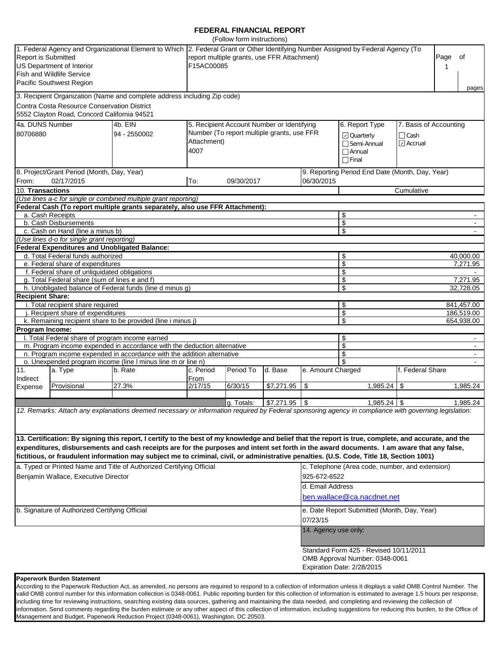#### **FEDERAL FINANCIAL REPORT**

|                                                                                                     |                                                                                                                      |                                                                                                                                                                                                                                                                                                    |                                                 | (Follow form instructions)                 |                               |                      |                                                                           |                                  |                  |                       |  |
|-----------------------------------------------------------------------------------------------------|----------------------------------------------------------------------------------------------------------------------|----------------------------------------------------------------------------------------------------------------------------------------------------------------------------------------------------------------------------------------------------------------------------------------------------|-------------------------------------------------|--------------------------------------------|-------------------------------|----------------------|---------------------------------------------------------------------------|----------------------------------|------------------|-----------------------|--|
| <b>Report is Submitted</b>                                                                          | US Department of Interior<br><b>Fish and Wildlife Service</b><br>Pacific Southwest Region                            | 1. Federal Agency and Organizational Element to Which 2. Federal Grant or Other Identifying Number Assigned by Federal Agency (To<br>report multiple grants, use FFR Attachment)<br>F15AC00085                                                                                                     |                                                 |                                            |                               |                      |                                                                           |                                  | of               |                       |  |
|                                                                                                     |                                                                                                                      | 3. Recipient Organization (Name and complete address including Zip code)                                                                                                                                                                                                                           |                                                 |                                            |                               |                      |                                                                           |                                  |                  | pages                 |  |
|                                                                                                     | Contra Costa Resource Conservation District<br>5552 Clayton Road, Concord California 94521                           |                                                                                                                                                                                                                                                                                                    |                                                 |                                            |                               |                      |                                                                           |                                  |                  |                       |  |
|                                                                                                     | 4a. DUNS Number<br>4b. EIN<br>5. Recipient Account Number or Identifying<br>6. Report Type<br>7. Basis of Accounting |                                                                                                                                                                                                                                                                                                    |                                                 |                                            |                               |                      |                                                                           |                                  |                  |                       |  |
| 80706880                                                                                            |                                                                                                                      | 94 - 2550002                                                                                                                                                                                                                                                                                       | Attachment)<br>4007                             | Number (To report multiple grants, use FFR |                               |                      | <b>□</b> Quarterly<br>$\Box$ Semi-Annual<br>$\Box$ Annual<br>$\Box$ Final | $\Box$ Cash<br>$\boxdot$ Accrual |                  |                       |  |
|                                                                                                     | 8. Project/Grant Period (Month, Day, Year)                                                                           |                                                                                                                                                                                                                                                                                                    |                                                 |                                            |                               |                      | 9. Reporting Period End Date (Month, Day, Year)                           |                                  |                  |                       |  |
| From:                                                                                               | 02/17/2015                                                                                                           |                                                                                                                                                                                                                                                                                                    | To:                                             | 09/30/2017                                 |                               | 06/30/2015           |                                                                           |                                  |                  |                       |  |
| 10. Transactions                                                                                    |                                                                                                                      |                                                                                                                                                                                                                                                                                                    |                                                 |                                            |                               | Cumulative           |                                                                           |                                  |                  |                       |  |
|                                                                                                     |                                                                                                                      | (Use lines a-c for single or combined multiple grant reporting)                                                                                                                                                                                                                                    |                                                 |                                            |                               |                      |                                                                           |                                  |                  |                       |  |
|                                                                                                     |                                                                                                                      | Federal Cash (To report multiple grants separately, also use FFR Attachment):                                                                                                                                                                                                                      |                                                 |                                            |                               |                      |                                                                           |                                  |                  |                       |  |
|                                                                                                     | a. Cash Receipts                                                                                                     |                                                                                                                                                                                                                                                                                                    |                                                 |                                            |                               |                      | \$                                                                        |                                  |                  |                       |  |
|                                                                                                     | b. Cash Disbursements<br>c. Cash on Hand (line a minus b)                                                            |                                                                                                                                                                                                                                                                                                    |                                                 |                                            |                               | \$<br>\$             |                                                                           |                                  |                  |                       |  |
|                                                                                                     | (Use lines d-o for single grant reporting)                                                                           |                                                                                                                                                                                                                                                                                                    |                                                 |                                            |                               |                      |                                                                           |                                  |                  |                       |  |
|                                                                                                     | <b>Federal Expenditures and Unobligated Balance:</b>                                                                 |                                                                                                                                                                                                                                                                                                    |                                                 |                                            |                               |                      |                                                                           |                                  |                  |                       |  |
|                                                                                                     | d. Total Federal funds authorized                                                                                    |                                                                                                                                                                                                                                                                                                    |                                                 |                                            |                               |                      | \$                                                                        |                                  |                  | 40,000.00             |  |
| \$<br>e. Federal share of expenditures                                                              |                                                                                                                      |                                                                                                                                                                                                                                                                                                    |                                                 |                                            |                               |                      |                                                                           |                                  |                  | 7,271.95              |  |
| \$<br>f. Federal share of unliquidated obligations<br>g. Total Federal share (sum of lines e and f) |                                                                                                                      |                                                                                                                                                                                                                                                                                                    |                                                 |                                            |                               |                      |                                                                           |                                  |                  |                       |  |
|                                                                                                     |                                                                                                                      | h. Unobligated balance of Federal funds (line d minus g)                                                                                                                                                                                                                                           |                                                 |                                            |                               |                      | \$<br>\$                                                                  |                                  |                  | 7,271.95<br>32,728.05 |  |
| <b>Recipient Share:</b>                                                                             |                                                                                                                      |                                                                                                                                                                                                                                                                                                    |                                                 |                                            |                               |                      |                                                                           |                                  |                  |                       |  |
|                                                                                                     | i. Total recipient share required                                                                                    |                                                                                                                                                                                                                                                                                                    |                                                 |                                            |                               |                      | \$                                                                        |                                  |                  | 841,457.00            |  |
| \$<br>Recipient share of expenditures                                                               |                                                                                                                      |                                                                                                                                                                                                                                                                                                    |                                                 |                                            |                               |                      |                                                                           |                                  |                  | 186,519.00            |  |
|                                                                                                     |                                                                                                                      | k. Remaining recipient share to be provided (line i minus j)                                                                                                                                                                                                                                       |                                                 |                                            |                               |                      | \$                                                                        |                                  |                  | 654,938.00            |  |
| Program Income:                                                                                     |                                                                                                                      |                                                                                                                                                                                                                                                                                                    |                                                 |                                            |                               |                      |                                                                           |                                  |                  |                       |  |
|                                                                                                     | I. Total Federal share of program income earned                                                                      |                                                                                                                                                                                                                                                                                                    |                                                 |                                            |                               |                      | \$                                                                        |                                  |                  |                       |  |
|                                                                                                     |                                                                                                                      | m. Program income expended in accordance with the deduction alternative                                                                                                                                                                                                                            |                                                 |                                            |                               |                      | \$                                                                        |                                  |                  |                       |  |
|                                                                                                     |                                                                                                                      | n. Program income expended in accordance with the addition alternative                                                                                                                                                                                                                             |                                                 |                                            |                               |                      | \$<br>\$                                                                  |                                  |                  | $\sim$                |  |
| 11.<br>Indirect                                                                                     | o. Unexpended program income (line I minus line m or line n)<br>a. Type<br>b. Rate<br>From                           |                                                                                                                                                                                                                                                                                                    | c. Period                                       | Period To<br>d. Base                       |                               | e. Amount Charged    |                                                                           |                                  | f. Federal Share |                       |  |
| Expense                                                                                             | Provisional                                                                                                          | 27.3%                                                                                                                                                                                                                                                                                              | 2/17/15                                         | 6/30/15                                    | \$7,271.95                    | <b>S</b>             | $1,985.24$ \$                                                             |                                  |                  | 1,985.24              |  |
|                                                                                                     |                                                                                                                      |                                                                                                                                                                                                                                                                                                    |                                                 |                                            |                               |                      |                                                                           |                                  |                  |                       |  |
|                                                                                                     |                                                                                                                      | 12. Remarks: Attach any explanations deemed necessary or information required by Federal sponsoring agency in compliance with governing legislation:                                                                                                                                               |                                                 | a. Totals:                                 | $\frac{1}{2}$ \$7.271.95 \ \$ |                      | $1.985.24$ S                                                              |                                  |                  | 1.985.24              |  |
|                                                                                                     |                                                                                                                      | 13. Certification: By signing this report, I certify to the best of my knowledge and belief that the report is true, complete, and accurate, and the<br>expenditures, disbursements and cash receipts are for the purposes and intent set forth in the award documents. I am aware that any false, |                                                 |                                            |                               |                      |                                                                           |                                  |                  |                       |  |
|                                                                                                     |                                                                                                                      | fictitious, or fraudulent information may subject me to criminal, civil, or administrative penalties. (U.S. Code, Title 18, Section 1001)                                                                                                                                                          |                                                 |                                            |                               |                      |                                                                           |                                  |                  |                       |  |
|                                                                                                     |                                                                                                                      | a. Typed or Printed Name and Title of Authorized Certifying Official                                                                                                                                                                                                                               | c. Telephone (Area code, number, and extension) |                                            |                               |                      |                                                                           |                                  |                  |                       |  |
|                                                                                                     | Benjamin Wallace, Executive Director                                                                                 |                                                                                                                                                                                                                                                                                                    | 925-672-6522                                    |                                            |                               |                      |                                                                           |                                  |                  |                       |  |
|                                                                                                     |                                                                                                                      |                                                                                                                                                                                                                                                                                                    | d. Email Address                                |                                            |                               |                      |                                                                           |                                  |                  |                       |  |
|                                                                                                     |                                                                                                                      |                                                                                                                                                                                                                                                                                                    |                                                 |                                            |                               |                      | ben.wallace@ca.nacdnet.net                                                |                                  |                  |                       |  |
|                                                                                                     | b. Signature of Authorized Certifying Official                                                                       |                                                                                                                                                                                                                                                                                                    | e. Date Report Submitted (Month, Day, Year)     |                                            |                               |                      |                                                                           |                                  |                  |                       |  |
|                                                                                                     |                                                                                                                      |                                                                                                                                                                                                                                                                                                    |                                                 |                                            |                               | 07/23/15             |                                                                           |                                  |                  |                       |  |
|                                                                                                     |                                                                                                                      |                                                                                                                                                                                                                                                                                                    |                                                 |                                            |                               | 14. Agency use only: |                                                                           |                                  |                  |                       |  |
|                                                                                                     |                                                                                                                      |                                                                                                                                                                                                                                                                                                    |                                                 |                                            |                               |                      | Standard Form 425 - Revised 10/11/2011                                    |                                  |                  |                       |  |
|                                                                                                     |                                                                                                                      |                                                                                                                                                                                                                                                                                                    |                                                 |                                            |                               |                      | OMB Approval Number: 0348-0061                                            |                                  |                  |                       |  |
|                                                                                                     |                                                                                                                      |                                                                                                                                                                                                                                                                                                    |                                                 |                                            |                               |                      | Expiration Date: 2/28/2015                                                |                                  |                  |                       |  |

#### **Paperwork Burden Statement**

According to the Paperwork Reduction Act, as amended, no persons are required to respond to a collection of information unless it displays a valid OMB Control Number. The valid OMB control number for this information collection is 0348-0061. Public reporting burden for this collection of information is estimated to average 1.5 hours per response, including time for reviewing instructions, searching existing data sources, gathering and maintaining the data needed, and completing and reviewing the collection of information. Send comments regarding the burden estimate or any other aspect of this collection of information, including suggestions for reducing this burden, to the Office of Management and Budget, Paperwork Reduction Project (0348-0061), Washington, DC 20503.